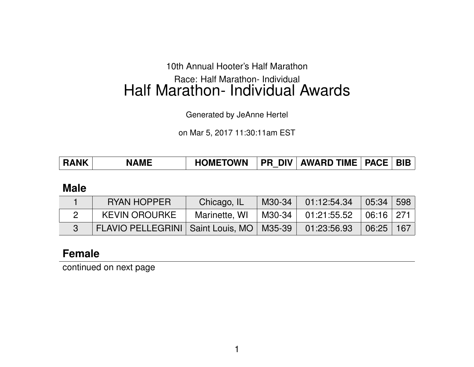#### 10th Annual Hooter's Half Marathon

# Race: Half Marathon- Individual Half Marathon- Individual Awards

Generated by JeAnne Hertel

on Mar 5, 2017 11:30:11am EST

| PR_DIV   AWARD TIME   PACE   BIB  <br><b>HOMETOWN</b><br><b>RANK</b><br><b>NAME</b> |
|-------------------------------------------------------------------------------------|
|-------------------------------------------------------------------------------------|

#### **Male**

| <b>RYAN HOPPER</b>                           | Chicago, IL   | M30-34               | 01:12:54.34                                     | $\vert$ 05:34 | 598        |
|----------------------------------------------|---------------|----------------------|-------------------------------------------------|---------------|------------|
| <b>KEVIN OROURKE</b>                         | Marinette, WI | $\mid$ M30-34 $\mid$ | $^{\circ}$ 01:21:55.52 $\,$ 06:16 $\,$ 271 $\,$ |               |            |
| FLAVIO PELLEGRINI   Saint Louis, MO   M35-39 |               |                      | 01:23:56.93                                     | 06:25         | $167 \mid$ |

#### **Female**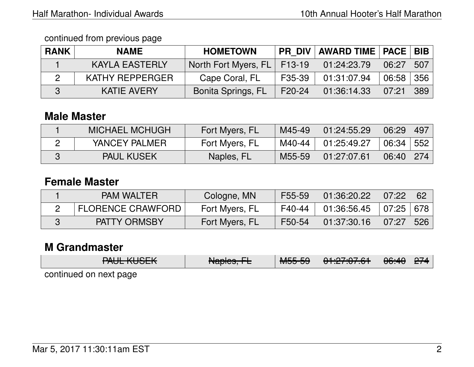continued from previous page

| <b>RANK</b> | <b>NAME</b>           | <b>HOMETOWN</b>               |        | PR DIV AWARD TIME   PACE   BIB |                  |  |
|-------------|-----------------------|-------------------------------|--------|--------------------------------|------------------|--|
|             | <b>KAYLA EASTERLY</b> | North Fort Myers, FL   F13-19 |        | 01:24:23.79                    | $06:27$ 507      |  |
|             | KATHY REPPERGER       | Cape Coral, FL                | F35-39 | 01:31:07.94                    | $06:58 \mid 356$ |  |
|             | <b>KATIE AVERY</b>    | <b>Bonita Springs, FL</b>     | F20-24 | 01:36:14.33                    | $07:21$ 389      |  |

## **Male Master**

| <b>MICHAEL MCHUGH</b> | Fort Myers, FL | M45-49 | 01:24:55.29 | 06:29 | 497 |
|-----------------------|----------------|--------|-------------|-------|-----|
| YANCEY PALMER         | Fort Myers, FL | M40-44 | 01:25:49.27 | 06:34 | 552 |
| <b>PAUL KUSEK</b>     | Naples, FL     | M55-59 | 01:27:07.61 | 06:40 | 274 |

### **Female Master**

| <b>PAM WALTER</b>        | Cologne, MN    | F55-59 | 01:36:20.22 | 07:22                      | - 62 |
|--------------------------|----------------|--------|-------------|----------------------------|------|
| <b>FLORENCE CRAWFORD</b> | Fort Myers, FL | F40-44 | 01:36:56.45 | $\mid 07:25 \mid 678 \mid$ |      |
| PATTY ORMSBY             | Fort Myers, FL | F50-54 | 01:37:30.16 | 07:27                      | 526  |

## **M Grandmaster**

| $MIII$ $MIO$<br><u>LAAFIYAAFIZ</u> | N<br>$\overline{\text{rappes}, \text{r}}$ | MEE EQ<br>᠊᠇ᠳᡂ᠇ᡂ | 0.4.07.07.01<br>TU. TU. TI J | $\Omega$ . $\Omega$<br>00. <del>4</del> 0 | 277 |
|------------------------------------|-------------------------------------------|------------------|------------------------------|-------------------------------------------|-----|
| continued on novt nago             |                                           |                  |                              |                                           |     |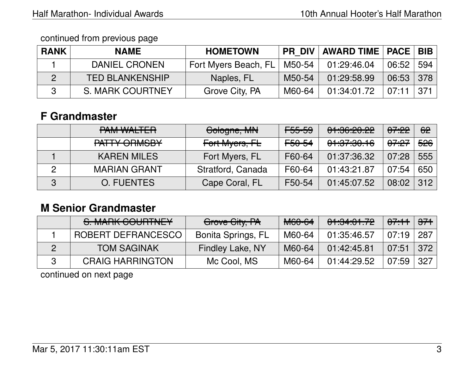continued from previous page

| <b>RANK</b> | <b>NAME</b>            | <b>HOMETOWN</b>                                   |        | PR DIV   AWARD TIME   PACE   BIB |             |        |
|-------------|------------------------|---------------------------------------------------|--------|----------------------------------|-------------|--------|
|             | DANIEL CRONEN          | Fort Myers Beach, FL   M50-54 $\vert$ 01:29:46.04 |        |                                  | 06:52   594 |        |
|             | <b>TED BLANKENSHIP</b> | Naples, FL                                        | M50-54 | 01:29:58.99                      | 06:53 378   |        |
|             | S. MARK COURTNEY       | Grove City, PA                                    | M60-64 | 01:34:01.72                      | 07:11       | -371 I |

# **F Grandmaster**

|   | <b>PAM WALTER</b>             | Cologne, MN       | <del>F55-59</del> | 01:36:20.22 | <del>07:22</del> | 62               |
|---|-------------------------------|-------------------|-------------------|-------------|------------------|------------------|
|   | DATTV ODMODV<br>TALLT OHIMODT | Fort Myers, FL    | <del>F50-54</del> | 01:37:30.16 | <del>07:27</del> | <del>526</del> ∣ |
|   | <b>KAREN MILES</b>            | Fort Myers, FL    | F60-64            | 01:37:36.32 | 07:28            | 555              |
|   | <b>MARIAN GRANT</b>           | Stratford, Canada | F60-64            | 01:43:21.87 | 07:54            | 650              |
| 3 | <b>O. FUENTES</b>             | Cape Coral, FL    | F50-54            | 01:45:07.52 | 08:02            | 312              |

# **M Senior Grandmaster**

| S. MARK COURTNEY        | Grove City, PA            | <del>M60-64</del> | 01:34:01.72 | $\sqrt{07.11}$ | <del>371</del>            |
|-------------------------|---------------------------|-------------------|-------------|----------------|---------------------------|
| ROBERT DEFRANCESCO      | <b>Bonita Springs, FL</b> | M60-64            | 01:35:46.57 | 07:19          | 287                       |
| <b>TOM SAGINAK</b>      | <b>Findley Lake, NY</b>   | M60-64            | 01:42:45.81 | / 07:51 /      | $^{\circ}$ 372 $^{\circ}$ |
| <b>CRAIG HARRINGTON</b> | Mc Cool, MS               | M60-64            | 01:44:29.52 | 07:59          | 327                       |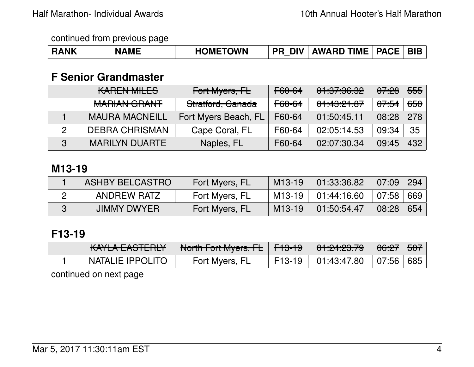| <b>RANK</b> | <b>NAME</b> | <b>HOMETOWN</b> | <b>PR DIV</b> | <b>AWARD TIME   PACE   BIB</b> |  |  |
|-------------|-------------|-----------------|---------------|--------------------------------|--|--|
|-------------|-------------|-----------------|---------------|--------------------------------|--|--|

## **F Senior Grandmaster**

|   | <b>KAREN MILES</b>                     | Fort Myers, FL       | F60-64            | 01:37:36.32 | <del>07:28</del> | <del>555</del> |
|---|----------------------------------------|----------------------|-------------------|-------------|------------------|----------------|
|   | MADIAN COANIT<br><b>NIALIAN SUMMIT</b> | Stratford, Canada    | <del>F60-64</del> | 01:43:21.07 | <del>07:54</del> | <del>650</del> |
|   | <b>MAURA MACNEILL</b>                  | Fort Myers Beach, FL | F60-64            | 01:50:45.11 | 08:28            | 278            |
|   | <b>DEBRA CHRISMAN</b>                  | Cape Coral, FL       | F60-64            | 02:05:14.53 | 09:34            | -35            |
| 3 | <b>MARILYN DUARTE</b>                  | Naples, FL           | F60-64            | 02:07:30.34 | 09:45            | 432            |

#### **M13-19**

| <b>ASHBY BELCASTRO</b> | Fort Myers, FL | M <sub>13</sub> -19 | 01:33:36.82 | 07:09 | 294 |
|------------------------|----------------|---------------------|-------------|-------|-----|
| ANDREW RATZ            | Fort Myers, FL | M13-19              | 01:44:16.60 | 07:58 | 669 |
| <b>JIMMY DWYER</b>     | Fort Myers, FL | $M13-19$            | 01:50:54.47 | 08:28 | 654 |

# **F13-19**

| <i>VAVIA</i> FACTEDIV<br>IVALLA LAQTERET | North Fart Muaro FL<br>$\overline{1}$ | ' <del>F13-19</del> ' | <u>_04 .04 .00 .70 </u><br>$\sqrt{1.44.40.13}$ | <del>06:27</del> | 507 |
|------------------------------------------|---------------------------------------|-----------------------|------------------------------------------------|------------------|-----|
| NATALIE IPPOLITO                         | Fort Myers, FL                        | F13-19                | $01:43:47.80$ 07:56 685                        |                  |     |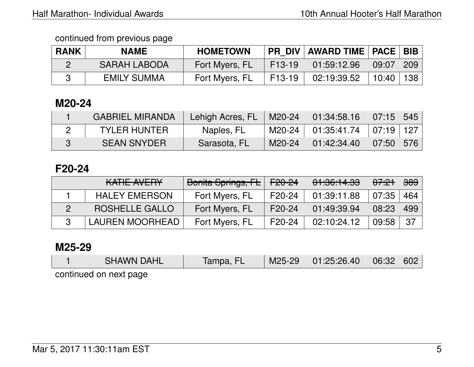| <b>RANK</b> | <b>NAME</b>         | <b>HOMETOWN</b> | <b>PR DIV</b>       | '   AWARD TIME   PACE   BIB |       |             |
|-------------|---------------------|-----------------|---------------------|-----------------------------|-------|-------------|
|             | <b>SARAH LABODA</b> | Fort Myers, FL  | F <sub>13</sub> -19 | 01:59:12.96                 | 09:07 | $\vert$ 209 |
|             | <b>EMILY SUMMA</b>  | Fort Myers, FL  | F <sub>13</sub> -19 | 02:19:39.52                 | 10:40 | 138         |

## **M20-24**

| <b>GABRIEL MIRANDA</b> | <b>Lehigh Acres, FL</b> | M20-24 | $\setminus$ 01:34:58.16 $\mid$ 07:15 $\mid$ 545 $\mid$ |           |  |
|------------------------|-------------------------|--------|--------------------------------------------------------|-----------|--|
| <b>TYLER HUNTER</b>    | Naples, FL              | M20-24 | $^+$ 01:35:41.74 $+$ 07:19 $+$ 127 $\pm$               |           |  |
| <b>SEAN SNYDER</b>     | Sarasota, FL            | M20-24 | 01:42:34.40                                            | 07:50 576 |  |

### **F20-24**

| KATIE AVERY            | Bonita Springs, FL | <del>F20-24</del> | 01:36:14.33 | <sup>'</sup> <del>07:21</del> ∖ | <del>389</del> |
|------------------------|--------------------|-------------------|-------------|---------------------------------|----------------|
| <b>HALEY EMERSON</b>   | Fort Myers, FL     | F20-24            | 01:39:11.88 | 07:35                           | 464∣           |
| ROSHELLE GALLO         | Fort Myers, FL     | F20-24            | 01:49:39.94 | 08:23                           | 499            |
| <b>LAUREN MOORHEAD</b> | Fort Myers, FL     | F20-24            | 02:10:24.12 | 09:58                           | -37            |

#### **M25-29**

|                        | <b>SHAWN DAHL</b> | Tampa, FL | M25-29 | 01:25:26.40 | $\sqrt{06:32}$ | 602 |  |  |
|------------------------|-------------------|-----------|--------|-------------|----------------|-----|--|--|
| continued on novt nogo |                   |           |        |             |                |     |  |  |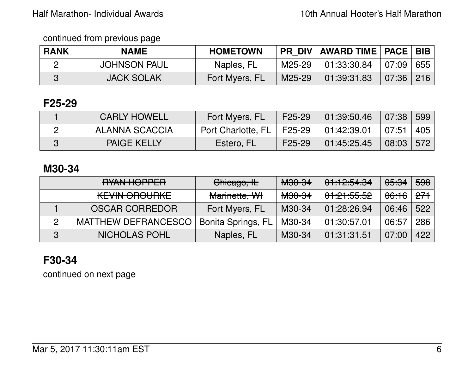| <b>RANK</b> | <b>NAME</b>         | <b>HOMETOWN</b> | <b>PR DIV</b> | <b>AWARD TIME   PACE   BIB</b>                |           |  |
|-------------|---------------------|-----------------|---------------|-----------------------------------------------|-----------|--|
|             | <b>JOHNSON PAUL</b> | Naples, FL      | M25-29 I      | $\vert$ 01:33:30.84 $\vert$ 07:09 $\vert$ 655 |           |  |
|             | <b>JACK SOLAK</b>   | Fort Myers, FL  | M25-29        | 01:39:31.83                                   | 07:36 216 |  |

# **F25-29**

| <b>CARLY HOWELL</b> | Fort Myers, FL              | F25-29              | 01:39:50.46 | 07:38 599          |     |
|---------------------|-----------------------------|---------------------|-------------|--------------------|-----|
| ALANNA SCACCIA      | Port Charlotte, FL   F25-29 |                     | 01:42:39.01 | 07:51              | 405 |
| <b>PAIGE KELLY</b>  | Estero, FL                  | F <sub>25</sub> -29 | 01:45:25.45 | $\mid$ 08:03   572 |     |

### **M30-34**

|               | RYAN HOPPER           | Chicago, IL               | <b>M30-34</b>     | 01:12:54.34 | <del>05:34</del> | 598 |
|---------------|-----------------------|---------------------------|-------------------|-------------|------------------|-----|
|               | <b>KEVIN OROURKE</b>  | Marinette, WI             | <del>M30-34</del> | 01:21:55.52 |                  |     |
|               | <b>OSCAR CORREDOR</b> | Fort Myers, FL            | M30-34            | 01:28:26.94 | 06:46            | 522 |
| $\mathcal{P}$ | MATTHEW DEFRANCESCO   | <b>Bonita Springs, FL</b> | M30-34            | 01:30:57.01 | 06:57            | 286 |
| 3             | <b>NICHOLAS POHL</b>  | Naples, FL                | M30-34            | 01:31:31.51 | 07:00            | 422 |

# **F30-34**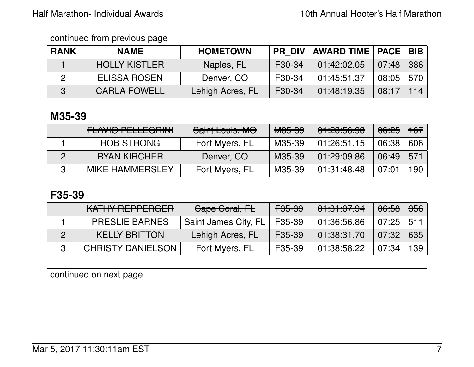| <b>RANK</b> | <b>NAME</b>          | <b>HOMETOWN</b>  |                     | PR_DIV   AWARD TIME   PACE   BIB |               |     |
|-------------|----------------------|------------------|---------------------|----------------------------------|---------------|-----|
|             | <b>HOLLY KISTLER</b> | Naples, FL       | F <sub>30</sub> -34 | 01:42:02.05                      | 07:48         | 386 |
|             | <b>ELISSA ROSEN</b>  | Denver, CO       | F30-34              | 01:45:51.37                      | $08:05$   570 |     |
|             | <b>CARLA FOWELL</b>  | Lehigh Acres, FL | F30-34              | 01:48:19.35                      | 08:17         | 114 |

# **M35-39**

| <u>EL AVIO DELLEODIAIL</u><br>LAVIV I LLLLVIIIII | Saint Louis, MO | <del>M35-39</del> | 01:23:56.93 | <del>06:25</del> | $+67$ |
|--------------------------------------------------|-----------------|-------------------|-------------|------------------|-------|
| ROB STRONG                                       | Fort Myers, FL  | M35-39            | 01:26:51.15 | 06:38            | 606   |
| <b>RYAN KIRCHER</b>                              | Denver, CO      | M35-39            | 01:29:09.86 | 06:49            | 571   |
| <b>MIKE HAMMERSLEY</b>                           | Fort Myers, FL  | M35-39            | 01:31:48.48 | 07:01            | 190   |

# **F35-39**

| KATHY REPPERGER          | Cape Coral, FL                | <del>F35-39</del>   | 01:31:07.94 | <del>06:58</del> | $356$ |
|--------------------------|-------------------------------|---------------------|-------------|------------------|-------|
| <b>PRESLIE BARNES</b>    | Saint James City, FL   F35-39 |                     | 01:36:56.86 | $07:25$ 511      |       |
| <b>KELLY BRITTON</b>     | Lehigh Acres, FL              | F <sub>35</sub> -39 | 01:38:31.70 | 07:32            | 635   |
| <b>CHRISTY DANIELSON</b> | Fort Myers, FL                | F35-39              | 01:38:58.22 | 07:34            | 139   |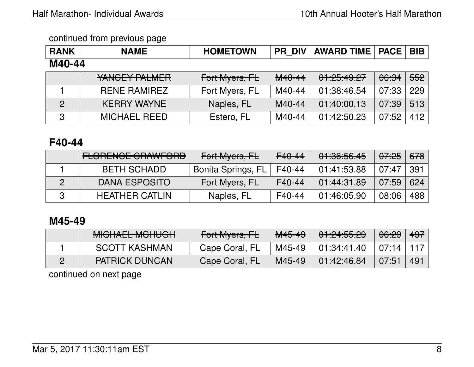| <b>RANK</b>    | <b>NAME</b>         | <b>HOMETOWN</b> | <b>PR DIV</b> | <b>AWARD TIME   PACE</b> |                  | <b>BIB</b> |
|----------------|---------------------|-----------------|---------------|--------------------------|------------------|------------|
| M40-44         |                     |                 |               |                          |                  |            |
|                | YANCEY PALMER       | Fort Myers, FL  | M40-44        | 01:25:49.27              | <del>06:34</del> | 552        |
|                | <b>RENE RAMIREZ</b> | Fort Myers, FL  | M40-44        | 01:38:46.54              | 07:33            | 229        |
| $\overline{2}$ | <b>KERRY WAYNE</b>  | Naples, FL      | M40-44        | 01:40:00.13              | 07:39            | 513        |
| ດ              | <b>MICHAEL REED</b> | Estero, FL      | M40-44        | 01:42:50.23              | 07:52            | 412        |

### **F40-44**

| <b>FLORENCE CRAWFORD</b> | Fort Myers, FL            | F40-44 | 01:36:56.45 | <del>07:25</del> | <del>678</del> |
|--------------------------|---------------------------|--------|-------------|------------------|----------------|
| <b>BETH SCHADD</b>       | <b>Bonita Springs, FL</b> | F40-44 | 01:41:53.88 | 07:47            | 391            |
| <b>DANA ESPOSITO</b>     | Fort Myers, FL            | F40-44 | 01:44:31.89 | 07:59            | 624            |
| <b>HEATHER CATLIN</b>    | Naples, FL                | F40-44 | 01:46:05.90 | 08:06            | 488            |

## **M45-49**

| MIQUATI MOUILOU<br><u>MIUTALL MUTUUT</u> | Fort Myers, FL | M45-49 | 01:24:55.29 | 06:29 | 497 |
|------------------------------------------|----------------|--------|-------------|-------|-----|
| <b>SCOTT KASHMAN</b>                     | Cape Coral, FL | M45-49 | 01:34:41.40 | 07:14 |     |
| <b>PATRICK DUNCAN</b>                    | Cape Coral, FL | M45-49 | 01:42:46.84 | 07:51 | 491 |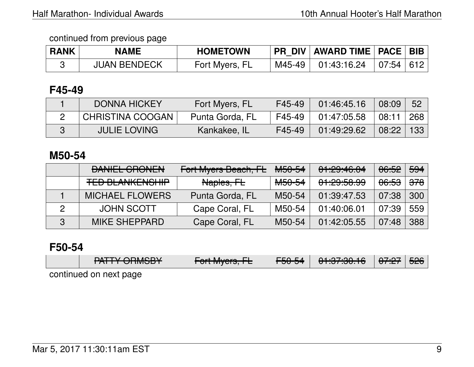| <b>RANK</b> | <b>NAME</b>         | <b>HOMETOWN</b> | PR_DIV   AWARD TIME   PACE   BIB |           |  |
|-------------|---------------------|-----------------|----------------------------------|-----------|--|
|             | <b>JUAN BENDECK</b> | Fort Myers, FL  | $M45-49$ 01:43:16.24             | 07:54 612 |  |

### **F45-49**

| <b>DONNA HICKEY</b>     | Fort Myers, FL  | F45-49 | 01:46:45.16 | 08:09 | 52  |
|-------------------------|-----------------|--------|-------------|-------|-----|
| <b>CHRISTINA COOGAN</b> | Punta Gorda, FL | F45-49 | 01:47:05.58 | 08:11 | 268 |
| <b>JULIE LOVING</b>     | Kankakee, IL    | F45-49 | 01:49:29.62 | 08:22 | 133 |

#### **M50-54**

|   | <b>DANIEL CRONEN</b>                             | <b>Fort Myers Beach, FL</b> | <del>M50-54</del> | 01:29:46.04                        | <del>06:52</del> | <del>594</del> |
|---|--------------------------------------------------|-----------------------------|-------------------|------------------------------------|------------------|----------------|
|   | <b>TED DI ANII/FNIOLIID</b><br>TER PEANNENOLIII. | Naples, FL                  | <del>M50-54</del> | 0.1,00.50,00<br><u>UT.CJ.JU.JJ</u> | <del>06:53</del> | <del>378</del> |
|   | <b>MICHAEL FLOWERS</b>                           | Punta Gorda, FL             | M50-54            | 01:39:47.53                        | 07:38            | 300            |
|   | <b>JOHN SCOTT</b>                                | Cape Coral, FL              | M50-54            | 01:40:06.01                        | 07:39            | 559            |
| 3 | <b>MIKE SHEPPARD</b>                             | Cape Coral, FL              | M50-54            | 01:42:05.55                        | 07:48            | 388            |

#### **F50-54**

| $MTTV$ $\cap$ $M\cap V$ | $\Gamma$ aut Muana $\Gamma$ | $\Gamma$ $\Gamma$ $\cap$ $\Gamma$ $\Lambda$ | 0.1.07.0010             | $\Omega$ . $\Omega$ . $\Omega$ | <del>526</del> ∣ |
|-------------------------|-----------------------------|---------------------------------------------|-------------------------|--------------------------------|------------------|
| TALL UNWODT             | TUITIVIYUIS, IE             | TJU-J <del>I</del>                          | <del>טהטה. זכה וט</del> | 07.CT                          |                  |
| continued on next page  |                             |                                             |                         |                                |                  |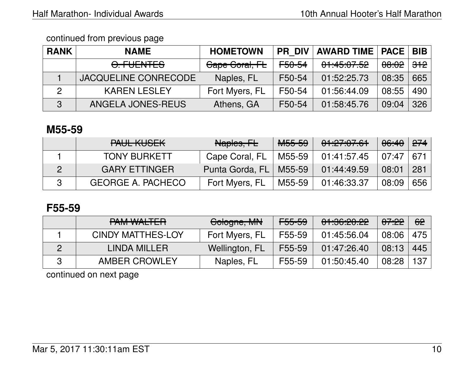| <b>RANK</b> | <b>NAME</b>                 | <b>HOMETOWN</b> | <b>PR DIV</b>     | <b>AWARD TIME   PACE</b> |                  | <b>BIB</b>     |
|-------------|-----------------------------|-----------------|-------------------|--------------------------|------------------|----------------|
|             | <del>O. FUENTES</del>       | Cape Coral, FL  | <del>F50-54</del> | 01:45:07.52              | <del>08:02</del> | <del>312</del> |
|             | <b>JACQUELINE CONRECODE</b> | Naples, FL      | F50-54            | 01:52:25.73              | 08:35            | 665            |
| 2           | <b>KAREN LESLEY</b>         | Fort Myers, FL  | F50-54            | 01:56:44.09              | 08:55            | 490            |
| 3           | ANGELA JONES-REUS           | Athens, GA      | F50-54            | 01:58:45.76              | 09:04            | 326            |

## **M55-59**

| DALIL VIIOFIZ<br><u>TAUL NUJLIY</u> | Naples, FL      | <del>M55-59</del> | 01:27:07.61 | 06:40 | $\sqrt{274}$ |
|-------------------------------------|-----------------|-------------------|-------------|-------|--------------|
| <b>TONY BURKETT</b>                 | Cape Coral, FL  | M55-59            | 01:41:57.45 | 07:47 | 671          |
| <b>GARY ETTINGER</b>                | Punta Gorda, FL | M55-59            | 01:44:49.59 | 08:01 | 281          |
| <b>GEORGE A. PACHECO</b>            | Fort Myers, FL  | M55-59            | 01:46:33.37 | 08:09 | 656          |

### **F55-59**

| <u>DAM WALTED</u><br>LAW WALLET | Cologne, MN    | <del>F55-59</del> | 01:36:20.22 | <del>07:22</del> | 62  |
|---------------------------------|----------------|-------------------|-------------|------------------|-----|
| <b>CINDY MATTHES-LOY</b>        | Fort Myers, FL | F55-59            | 01:45:56.04 | 08:06            | 475 |
| LINDA MILLER                    | Wellington, FL | F55-59            | 01:47:26.40 | 08:13            | 445 |
| <b>AMBER CROWLEY</b>            | Naples, FL     | F55-59            | 01:50:45.40 | 08:28            | 137 |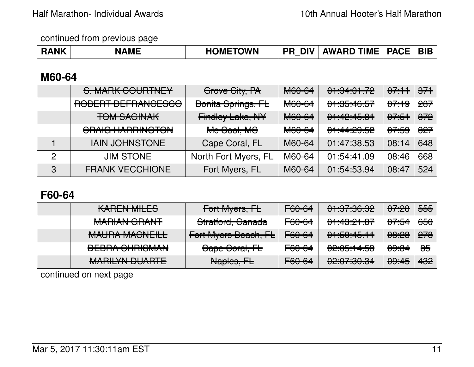| <b>NAME</b><br><b>RANK</b> | <b>HOMETOWN</b> | <b>DIV</b><br>PR | <b>AWARD TIME   PACE  </b> |  | <sub>BIB</sub> |
|----------------------------|-----------------|------------------|----------------------------|--|----------------|
|----------------------------|-----------------|------------------|----------------------------|--|----------------|

### **M60-64**

|               | S. MARK COURTNEY                                   | Grove City, PA          | <b>M60-64</b>               | 01:34:01.72                        | 07.11            | $\frac{1}{271}$ |
|---------------|----------------------------------------------------|-------------------------|-----------------------------|------------------------------------|------------------|-----------------|
|               | DADEDT DEFDANIAFRAA<br><b>UQDENT DEL IMITOLOUU</b> | Bonita Springs, FL      | <del>M60-64</del>           | 0.1.05.10EZ<br><del>u .uu.uu</del> | <del>07:19</del> | 207             |
|               | <b>TOM SAGINAK</b>                                 | <b>Findley Lake, NY</b> | $MCO$ $CA$<br><b>NUV-04</b> | 0.11014E<br>TT.TZ.TJ.U             | <del>07:51</del> | $\frac{1}{272}$ |
|               | <b>CRAIG HARRINGTON</b>                            | Me Gool, MS             | M60-64                      | 01:44:29.52                        | <del>07:59</del> | $\frac{1}{227}$ |
|               | <b>IAIN JOHNSTONE</b>                              | Cape Coral, FL          | M60-64                      | 01:47:38.53                        | 08:14            | 648             |
| $\mathcal{P}$ | <b>JIM STONE</b>                                   | North Fort Myers, FL    | M60-64                      | 01:54:41.09                        | 08:46            | 668             |
| 3             | <b>FRANK VECCHIONE</b>                             | Fort Myers, FL          | M60-64                      | 01:54:53.94                        | 08:47            | 524             |

# **F60-64**

| <b>KAREN MILES</b>                                  | Fort Myers, FL       | F60-64 | <u>םפ ספידפי דם</u><br>50.00. <u>IO.TU</u> | <del>07:28</del>              | <del>555</del> |
|-----------------------------------------------------|----------------------|--------|--------------------------------------------|-------------------------------|----------------|
| MADIAN COANIT<br><u>MALILAN ULIANT</u>              | Stratford, Canada    | F60-64 | 0.11000107<br><del>01.40.21.07</del>       | <del>07:54</del>              | <del>650</del> |
| MALIO A MAQNIEILL<br><b>MAUTIA MAUTELE</b>          | Fort Myers Beach, FL | F60-64 | 01:50:45.11                                | ഛഹ<br>$\overline{\mathbf{U}}$ | 270            |
| DEDDA QUDICMAN<br><b>DEDITION OF BUILDING AT A</b>  | Gape Goral, FL       | F60-64 | 00.05.11.52<br><u>UZ.UJ.TT.JJ</u>          | <del>09:34</del>              | <del>35</del>  |
| <u>MADII VALDI IADTE</u><br><b>MATHETIN DUALITE</b> | Naples, FL           | F60-64 | <u>,00.07.00 0.4</u><br>02.UL.UU.JT        | <del>09:45</del>              | 432            |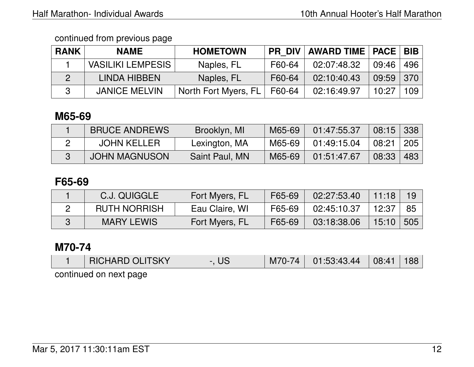| <b>RANK</b> | <b>NAME</b>              | <b>HOMETOWN</b>      | <b>PR DIV</b> | <b>AWARD TIME   PACE   BIB  </b> |             |                  |
|-------------|--------------------------|----------------------|---------------|----------------------------------|-------------|------------------|
|             | <b>VASILIKI LEMPESIS</b> | Naples, FL           | F60-64        | 02:07:48.32                      | 09:46       | 496              |
|             | LINDA HIBBEN             | Naples, FL           | F60-64        | 02:10:40.43                      | $09:59$ 370 |                  |
|             | <b>JANICE MELVIN</b>     | North Fort Myers, FL | F60-64        | 02:16:49.97                      | 10:27       | 109 <sup>°</sup> |

# **M65-69**

| <b>BRUCE ANDREWS</b> | Brooklyn, MI   | M65-69 | 01:47:55.37 | 08:15 | $\mid$ 338 $\mid$ |
|----------------------|----------------|--------|-------------|-------|-------------------|
| <b>JOHN KELLER</b>   | Lexington, MA  | M65-69 | 01:49:15.04 | 08:21 | 205               |
| <b>JOHN MAGNUSON</b> | Saint Paul, MN | M65-69 | 01:51:47.67 | 08:33 | 483               |

### **F65-69**

| C.J. QUIGGLE        | Fort Myers, FL | F65-69 | 02:27:53.40 | 11:18 |     |
|---------------------|----------------|--------|-------------|-------|-----|
| <b>RUTH NORRISH</b> | Eau Claire, WI | F65-69 | 02:45:10.37 | 12:37 | 85  |
| <b>MARY LEWIS</b>   | Fort Myers, FL | F65-69 | 03:18:38.06 | 15:10 | 505 |

### **M70-74**

|                           | <b>RICHARD OLITSKY</b> |  | $M70-74$ |  | $\sqrt{08:41}$ | 188 |  |
|---------------------------|------------------------|--|----------|--|----------------|-----|--|
| continuación portugalente |                        |  |          |  |                |     |  |